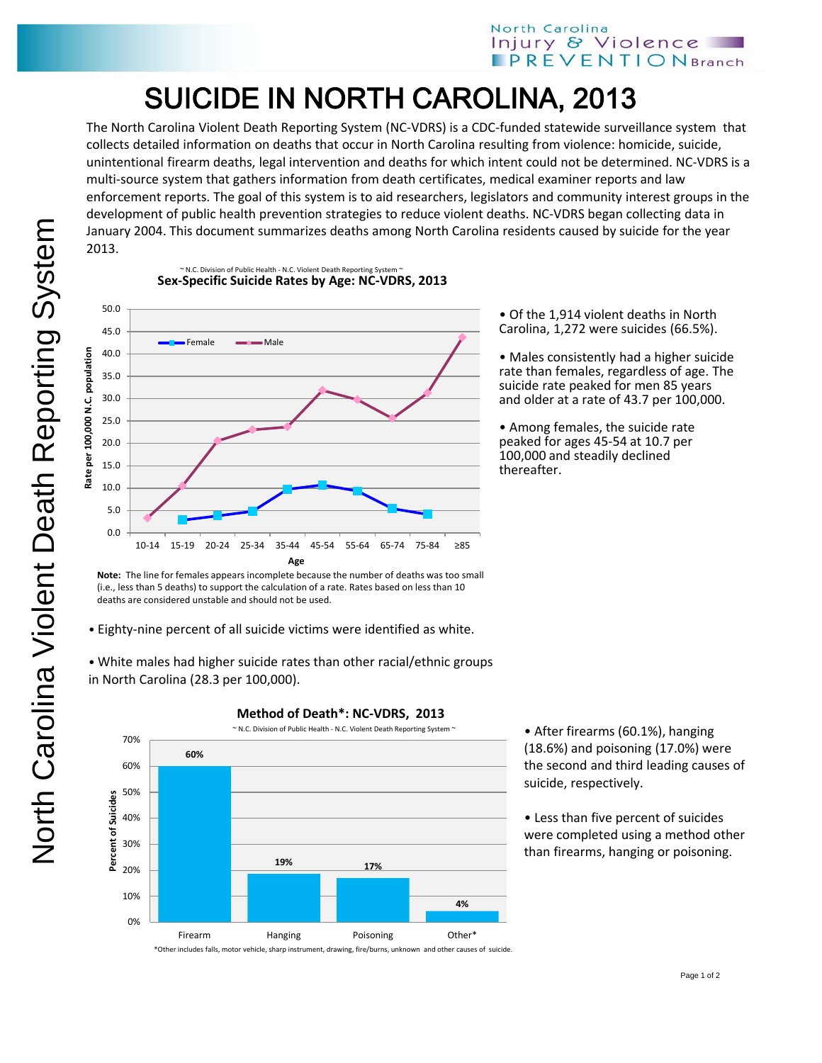## North Carolina Injury & Violence **PREVENTION** Branch

## SUICIDE IN NORTH CAROLINA, 2013

The North Carolina Violent Death Reporting System (NC-VDRS) is a CDC-funded statewide surveillance system that collects detailed information on deaths that occur in North Carolina resulting from violence: homicide, suicide, unintentional firearm deaths, legal intervention and deaths for which intent could not be determined. NC-VDRS is a multi-source system that gathers information from death certificates, medical examiner reports and law enforcement reports. The goal of this system is to aid researchers, legislators and community interest groups in the development of public health prevention strategies to reduce violent deaths. NC-VDRS began collecting data in January 2004. This document summarizes deaths among North Carolina residents caused by suicide for the year 2013.

North Carolina Violent Death Reporting System

North Carolina Violent Death Reporting System

**Sex-Specific Suicide Rates by Age: NC-VDRS, 2013** N.C. Division of Public Health - N.C. Violent Death Reporting System



**Note:** The line for females appears incomplete because the number of deaths was too small (i.e., less than 5 deaths) to support the calculation of a rate. Rates based on less than 10 deaths are considered unstable and should not be used.

• Eighty-nine percent of all suicide victims were identified as white.

• White males had higher suicide rates than other racial/ethnic groups in North Carolina (28.3 per 100,000).



• After firearms (60.1%), hanging (18.6%) and poisoning (17.0%) were the second and third leading causes of suicide, respectively.

• Less than five percent of suicides were completed using a method other than firearms, hanging or poisoning.

• Of the 1,914 violent deaths in North Carolina, 1,272 were suicides (66.5%).

• Males consistently had a higher suicide rate than females, regardless of age. The suicide rate peaked for men 85 years and older at a rate of 43.7 per 100,000.

• Among females, the suicide rate peaked for ages 45-54 at 10.7 per 100,000 and steadily declined thereafter.